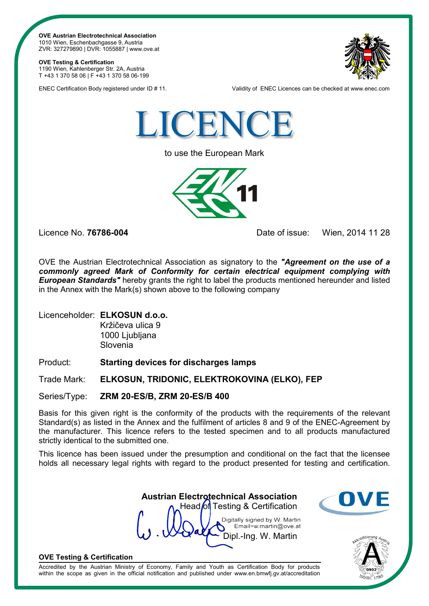**OVE Austrian Electrotechnical Association** 1010 Wien, Eschenbachgasse 9, Austria ZVR: 327279890 | DVR: 1055887 | www.ove.at

## **OVE Testing & Certification**

1190 Wien, Kahlenberger Str. 2A, Austria T +43 1 370 58 06 | F +43 1 370 58 06-199



ENEC Certification Body registered under ID # 11. Validity of ENEC Licences can be checked at www.enec.com



to use the European Mark



Licence No. **76786-004** Date of issue: Wien, 2014 11 28

OVE the Austrian Electrotechnical Association as signatory to the *"Agreement on the use of a commonly agreed Mark of Conformity for certain electrical equipment complying with European Standards"* hereby grants the right to label the products mentioned hereunder and listed in the Annex with the Mark(s) shown above to the following company

Licenceholder: **ELKOSUN d.o.o.**

Kržičeva ulica 9 1000 Ljubljana Slovenia

Product: **Starting devices for discharges lamps**

Trade Mark: **ELKOSUN, TRIDONIC, ELEKTROKOVINA (ELKO), FEP**

Series/Type: **ZRM 20-ES/B, ZRM 20-ES/B 400**

Basis for this given right is the conformity of the products with the requirements of the relevant Standard(s) as listed in the Annex and the fulfilment of articles 8 and 9 of the ENEC-Agreement by the manufacturer. This licence refers to the tested specimen and to all products manufactured strictly identical to the submitted one.

This licence has been issued under the presumption and conditional on the fact that the licensee holds all necessary legal rights with regard to the product presented for testing and certification.

 **Austrian Electrotechnical Association** Head of Testing & Certification Digitally signed by W. Martin Email=w.martin@ove.at Dipl.-Ing. W. Martin





## **OVE Testing & Certification**

Accredited by the Austrian Ministry of Economy, Family and Youth as Certification Body for products within the scope as given in the official notification and published under www.en.bmwfj.gv.at/accreditation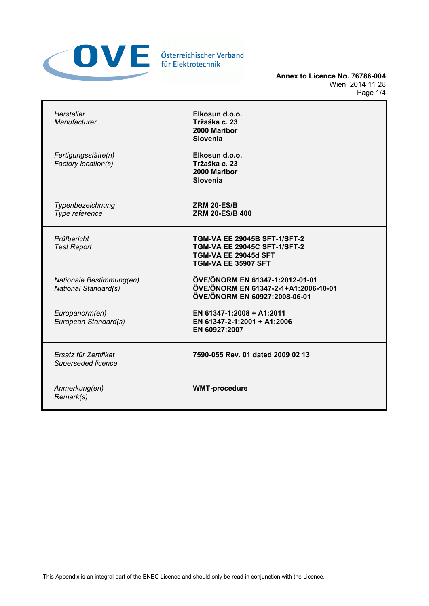

**Annex to Licence No. 76786-004** Wien, 2014 11 28 Page 1/4

| Hersteller<br>Manufacturer                              | Elkosun d.o.o.<br>Tržaška c. 23<br>2000 Maribor<br>Slovenia                                                                      |  |  |
|---------------------------------------------------------|----------------------------------------------------------------------------------------------------------------------------------|--|--|
| Fertigungsstätte(n)<br>Factory location(s)              | Elkosun d.o.o.<br>Tržaška c. 23<br>2000 Maribor<br>Slovenia                                                                      |  |  |
| Typenbezeichnung<br>Type reference                      | <b>ZRM 20-ES/B</b><br><b>ZRM 20-ES/B 400</b>                                                                                     |  |  |
| Prüfbericht<br><b>Test Report</b>                       | TGM-VA EE 29045B SFT-1/SFT-2<br><b>TGM-VA EE 29045C SFT-1/SFT-2</b><br><b>TGM-VA EE 29045d SFT</b><br><b>TGM-VA EE 35907 SFT</b> |  |  |
| Nationale Bestimmung(en)<br><b>National Standard(s)</b> | ÖVE/ÖNORM EN 61347-1:2012-01-01<br>ÖVE/ÖNORM EN 61347-2-1+A1:2006-10-01<br>ÖVE/ÖNORM EN 60927:2008-06-01                         |  |  |
| Europanorm(en)<br>European Standard(s)                  | EN 61347-1:2008 + A1:2011<br>EN 61347-2-1:2001 + A1:2006<br>EN 60927:2007                                                        |  |  |
| Ersatz für Zertifikat<br>Superseded licence             | 7590-055 Rev. 01 dated 2009 02 13                                                                                                |  |  |
| Anmerkung(en)<br>Remark(s)                              | <b>WMT-procedure</b>                                                                                                             |  |  |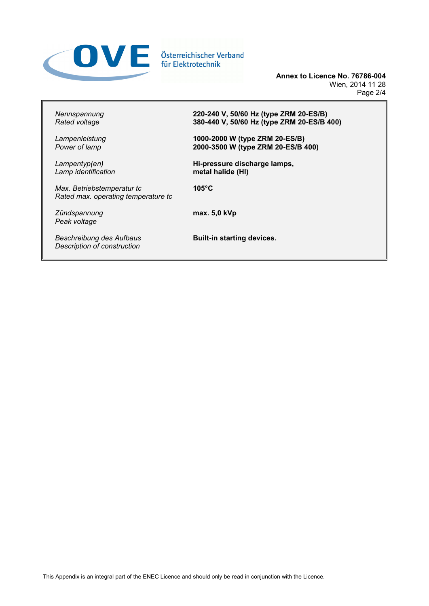

**Annex to Licence No. 76786-004** Wien, 2014 11 28 Page 2/4

*Nennspannung Rated voltage*

*Lampenleistung Power of lamp*

*Lampentyp(en) Lamp identification*

*Max. Betriebstemperatur tc Rated max. operating temperature tc*

*Zündspannung Peak voltage*

*Beschreibung des Aufbaus Description of construction*

**220-240 V, 50/60 Hz (type ZRM 20-ES/B) 380-440 V, 50/60 Hz (type ZRM 20-ES/B 400)**

**1000-2000 W (type ZRM 20-ES/B) 2000-3500 W (type ZRM 20-ES/B 400)**

**Hi-pressure discharge lamps, metal halide (HI)**

**105°C**

**max. 5,0 kVp**

**Built-in starting devices.**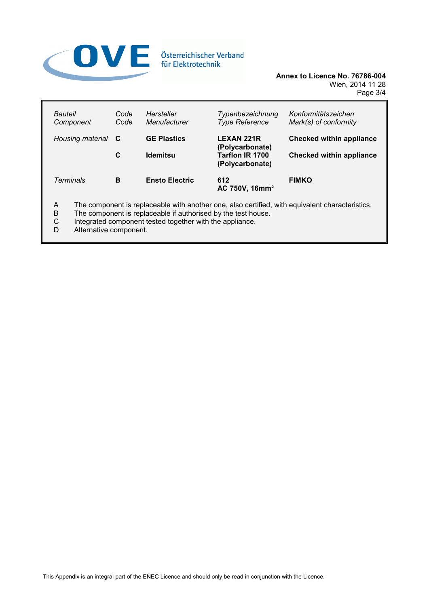

**Annex to Licence No. 76786-004** Wien, 2014 11 28 Page 3/4

| Bauteil<br>Component | Code<br>Code                                                      | Hersteller<br>Manufacturer | Typenbezeichnung<br><b>Type Reference</b> | Konformitätszeichen<br>Mark(s) of conformity |
|----------------------|-------------------------------------------------------------------|----------------------------|-------------------------------------------|----------------------------------------------|
| Housing material     | <b>GE Plastics</b><br><b>LEXAN 221R</b><br>- C<br>(Polycarbonate) |                            | <b>Checked within appliance</b>           |                                              |
|                      | C                                                                 | <b>Idemitsu</b>            | Tarflon IR 1700<br>(Polycarbonate)        | <b>Checked within appliance</b>              |
| Terminals            | в                                                                 | <b>Ensto Electric</b>      | 612<br>AC 750V, 16mm <sup>2</sup>         | <b>FIMKO</b>                                 |

A The component is replaceable with another one, also certified, with equivalent characteristics.<br>B The component is replaceable if authorised by the test house.

- B The component is replaceable if authorised by the test house.<br>C Integrated component tested together with the appliance.
- C Integrated component tested together with the appliance.<br>D Alternative component.
- Alternative component.